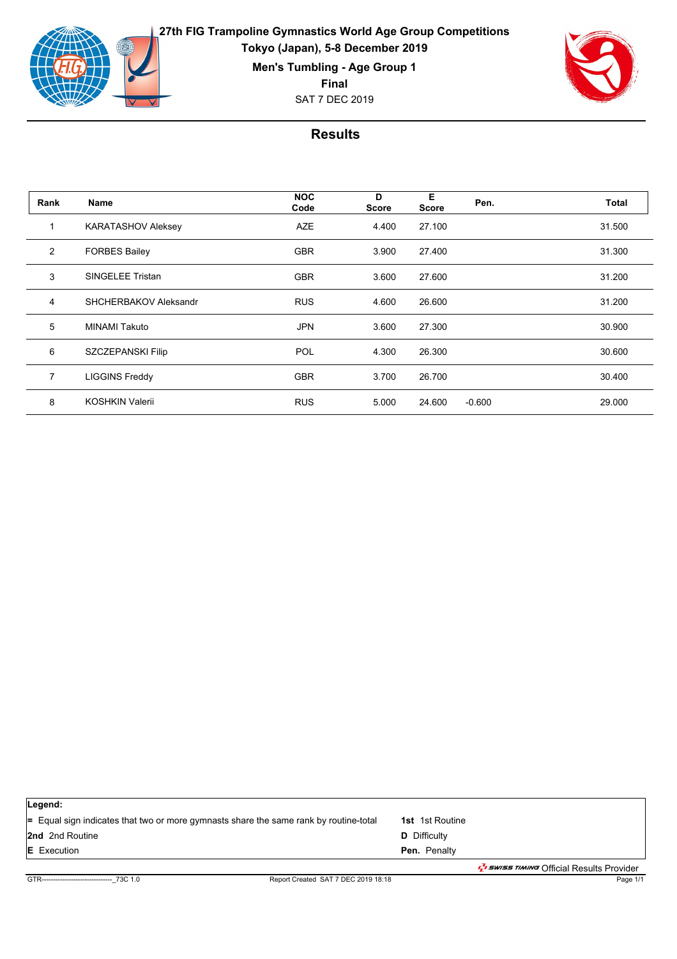

**Men's Tumbling - Age Group 1**

**Final**

SAT 7 DEC 2019



| Name                      | <b>NOC</b><br>Code | D<br>Score | E<br>Score | Pen.     | Total  |
|---------------------------|--------------------|------------|------------|----------|--------|
| <b>KARATASHOV Aleksey</b> | <b>AZE</b>         | 4.400      | 27.100     |          | 31.500 |
| <b>FORBES Bailey</b>      | <b>GBR</b>         | 3.900      | 27.400     |          | 31.300 |
| <b>SINGELEE Tristan</b>   | <b>GBR</b>         | 3.600      | 27.600     |          | 31.200 |
| SHCHERBAKOV Aleksandr     | <b>RUS</b>         | 4.600      | 26.600     |          | 31.200 |
| <b>MINAMI Takuto</b>      | <b>JPN</b>         | 3.600      | 27.300     |          | 30.900 |
| SZCZEPANSKI Filip         | POL                | 4.300      | 26.300     |          | 30.600 |
| <b>LIGGINS Freddy</b>     | <b>GBR</b>         | 3.700      | 26.700     |          | 30.400 |
| KOSHKIN Valerii           | <b>RUS</b>         | 5.000      | 24.600     | $-0.600$ | 29.000 |
|                           |                    |            |            |          |        |

| Legend:                                                                                      |                                                                     |
|----------------------------------------------------------------------------------------------|---------------------------------------------------------------------|
| $\equiv$ Equal sign indicates that two or more gymnasts share the same rank by routine-total | <b>1st</b> 1st Routine                                              |
| <b>2nd</b> 2nd Routine                                                                       | <b>D</b> Difficulty                                                 |
| <b>E</b> Execution                                                                           | <b>Pen.</b> Penalty                                                 |
|                                                                                              | ב <i>שור ב-E<sup>t</sup> swiss riming</i> Official Results Provider |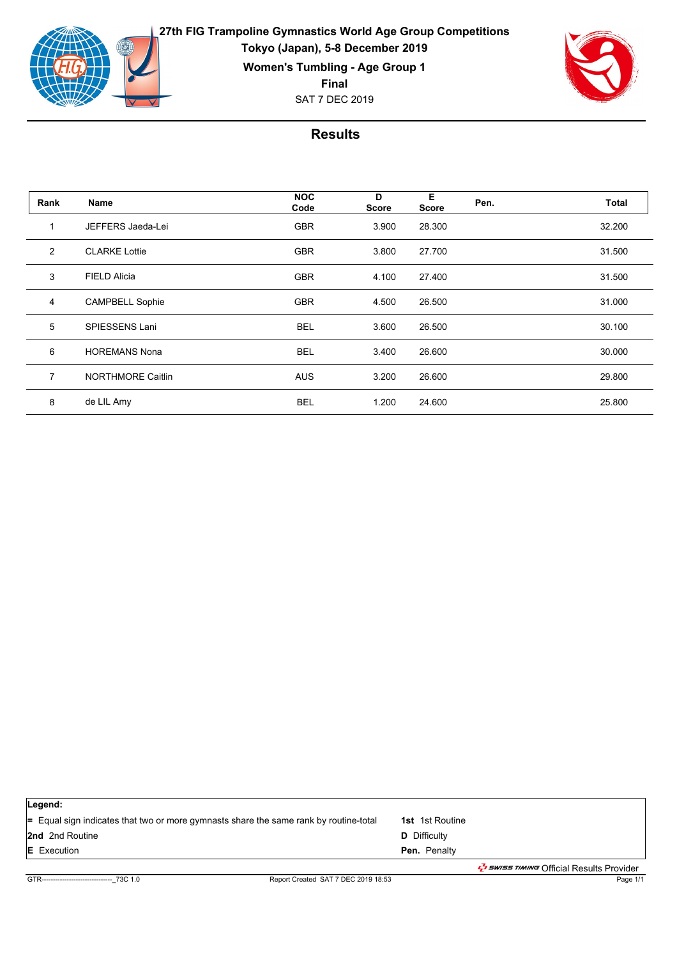

**27th FIG Trampoline Gymnastics World Age Group Competitions Tokyo (Japan), 5-8 December 2019 Women's Tumbling - Age Group 1**

**Final**

SAT 7 DEC 2019



| Rank           | <b>Name</b>              | <b>NOC</b><br>Code | D<br><b>Score</b> | Е<br>Score | Pen. | <b>Total</b> |
|----------------|--------------------------|--------------------|-------------------|------------|------|--------------|
| 1              | JEFFERS Jaeda-Lei        | <b>GBR</b>         | 3.900             | 28.300     |      | 32.200       |
| 2              | <b>CLARKE Lottie</b>     | <b>GBR</b>         | 3.800             | 27.700     |      | 31.500       |
| 3              | <b>FIELD Alicia</b>      | <b>GBR</b>         | 4.100             | 27.400     |      | 31.500       |
| $\overline{4}$ | <b>CAMPBELL Sophie</b>   | <b>GBR</b>         | 4.500             | 26.500     |      | 31.000       |
| 5              | SPIESSENS Lani           | <b>BEL</b>         | 3.600             | 26.500     |      | 30.100       |
| 6              | <b>HOREMANS Nona</b>     | <b>BEL</b>         | 3.400             | 26.600     |      | 30.000       |
| $\overline{7}$ | <b>NORTHMORE Caitlin</b> | <b>AUS</b>         | 3.200             | 26.600     |      | 29.800       |
| 8              | de LIL Amy               | <b>BEL</b>         | 1.200             | 24.600     |      | 25.800       |

| Legend:                                                                                      |                                                            |
|----------------------------------------------------------------------------------------------|------------------------------------------------------------|
| $\equiv$ Equal sign indicates that two or more gymnasts share the same rank by routine-total | <b>1st</b> 1st Routine                                     |
| <b>2nd</b> 2nd Routine                                                                       | <b>D</b> Difficulty                                        |
| <b>E</b> Execution                                                                           | <b>Pen.</b> Penalty                                        |
|                                                                                              | ב <i>שי ב-swiss דואו סיוואד O</i> fficial Results Provider |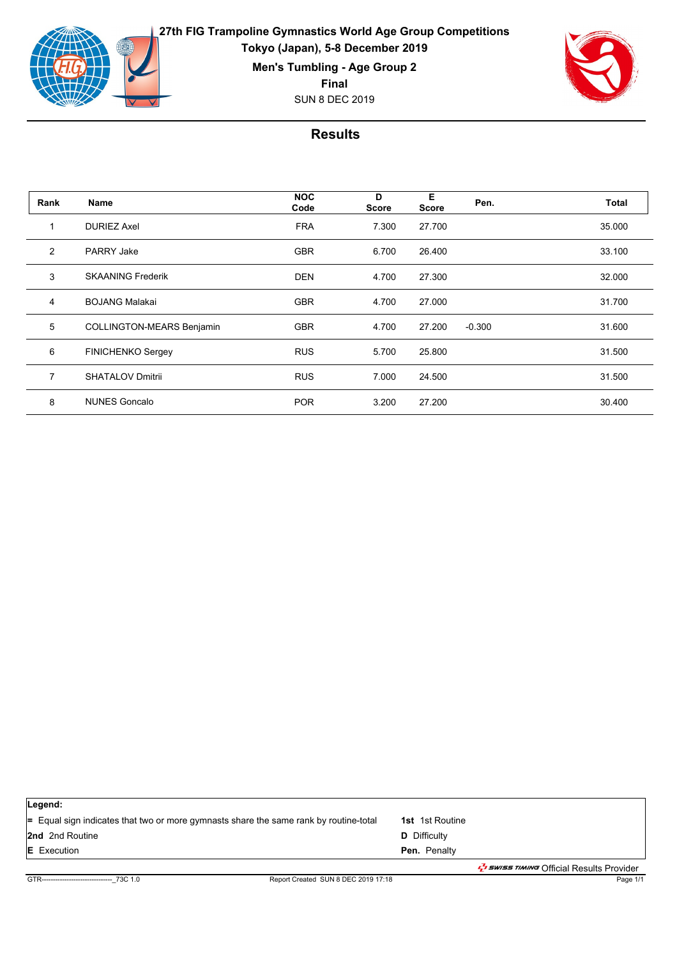

**Men's Tumbling - Age Group 2**

**Final**

SUN 8 DEC 2019



| Rank           | Name                             | <b>NOC</b><br>Code | D<br><b>Score</b> | E<br>Score | Pen.     | Total  |
|----------------|----------------------------------|--------------------|-------------------|------------|----------|--------|
|                | <b>DURIEZ Axel</b>               | <b>FRA</b>         | 7.300             | 27.700     |          | 35.000 |
| 2              | <b>PARRY Jake</b>                | <b>GBR</b>         | 6.700             | 26.400     |          | 33.100 |
| 3              | <b>SKAANING Frederik</b>         | <b>DEN</b>         | 4.700             | 27.300     |          | 32.000 |
| 4              | <b>BOJANG Malakai</b>            | <b>GBR</b>         | 4.700             | 27.000     |          | 31.700 |
| 5              | <b>COLLINGTON-MEARS Benjamin</b> | <b>GBR</b>         | 4.700             | 27.200     | $-0.300$ | 31.600 |
| 6              | <b>FINICHENKO Sergey</b>         | <b>RUS</b>         | 5.700             | 25.800     |          | 31.500 |
| $\overline{7}$ | <b>SHATALOV Dmitrii</b>          | <b>RUS</b>         | 7.000             | 24.500     |          | 31.500 |
| 8              | <b>NUNES Goncalo</b>             | <b>POR</b>         | 3.200             | 27.200     |          | 30.400 |

| Legend:                                                                                      |                                                                          |
|----------------------------------------------------------------------------------------------|--------------------------------------------------------------------------|
| $\equiv$ Equal sign indicates that two or more gymnasts share the same rank by routine-total | <b>1st</b> 1st Routine                                                   |
| <b>2nd</b> 2nd Routine                                                                       | <b>D</b> Difficulty                                                      |
| <b>E</b> Execution                                                                           | Pen. Penalty                                                             |
|                                                                                              | ב <i>ש באשב ל<sub>ד</sub>י swiss זיאוואיד O</i> fficial Results Provider |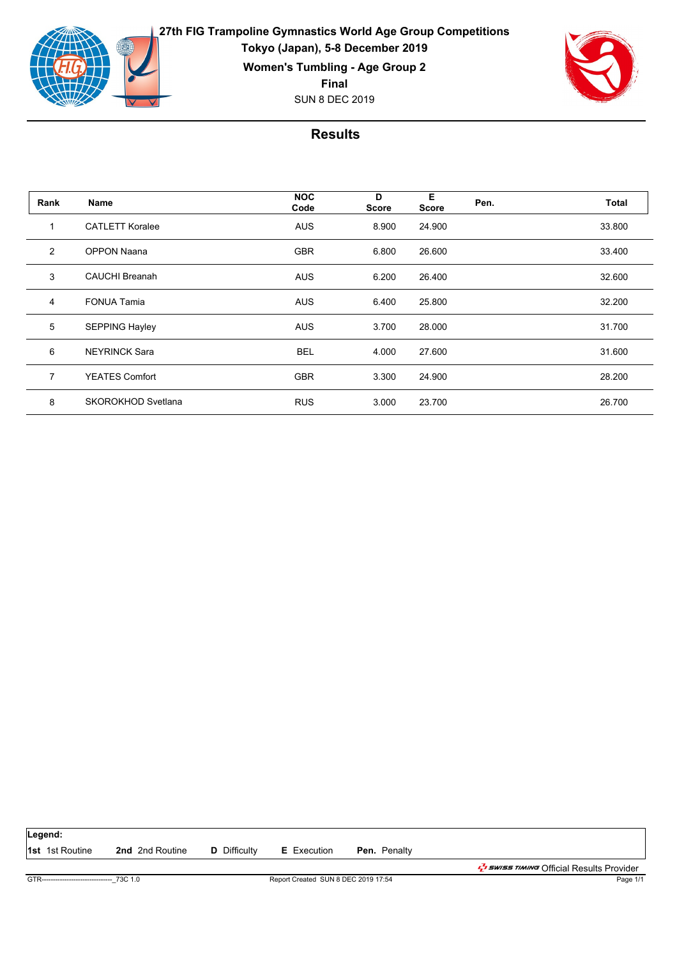

**27th FIG Trampoline Gymnastics World Age Group Competitions Tokyo (Japan), 5-8 December 2019 Women's Tumbling - Age Group 2 Final**

SUN 8 DEC 2019



| Rank           | Name                   | <b>NOC</b><br>Code | D<br><b>Score</b> | E<br>Score | Pen. | <b>Total</b> |
|----------------|------------------------|--------------------|-------------------|------------|------|--------------|
| 1              | <b>CATLETT Koralee</b> | <b>AUS</b>         | 8.900             | 24.900     |      | 33.800       |
| 2              | <b>OPPON Naana</b>     | <b>GBR</b>         | 6.800             | 26.600     |      | 33.400       |
| 3              | <b>CAUCHI Breanah</b>  | <b>AUS</b>         | 6.200             | 26.400     |      | 32.600       |
| $\overline{4}$ | <b>FONUA Tamia</b>     | <b>AUS</b>         | 6.400             | 25.800     |      | 32.200       |
| 5              | <b>SEPPING Hayley</b>  | <b>AUS</b>         | 3.700             | 28.000     |      | 31.700       |
| 6              | <b>NEYRINCK Sara</b>   | <b>BEL</b>         | 4.000             | 27.600     |      | 31.600       |
| $\overline{7}$ | <b>YEATES Comfort</b>  | <b>GBR</b>         | 3.300             | 24.900     |      | 28.200       |
| 8              | SKOROKHOD Svetlana     | <b>RUS</b>         | 3.000             | 23.700     |      | 26.700       |

| Legend:                                     |                        |                     |                                     |                     |                                                                           |
|---------------------------------------------|------------------------|---------------------|-------------------------------------|---------------------|---------------------------------------------------------------------------|
| <b>1st</b> 1st Routine                      | <b>2nd</b> 2nd Routine | <b>D</b> Difficulty | <b>E</b> Execution                  | <b>Pen.</b> Penalty |                                                                           |
|                                             |                        |                     |                                     |                     | ב <i>לי באוואד ב<sup>ד</sup>י Swiss דוואות O</i> fficial Results Provider |
| GTR-------------------------------- 73C 1.0 |                        |                     | Report Created SUN 8 DEC 2019 17:54 |                     | Page 1/1                                                                  |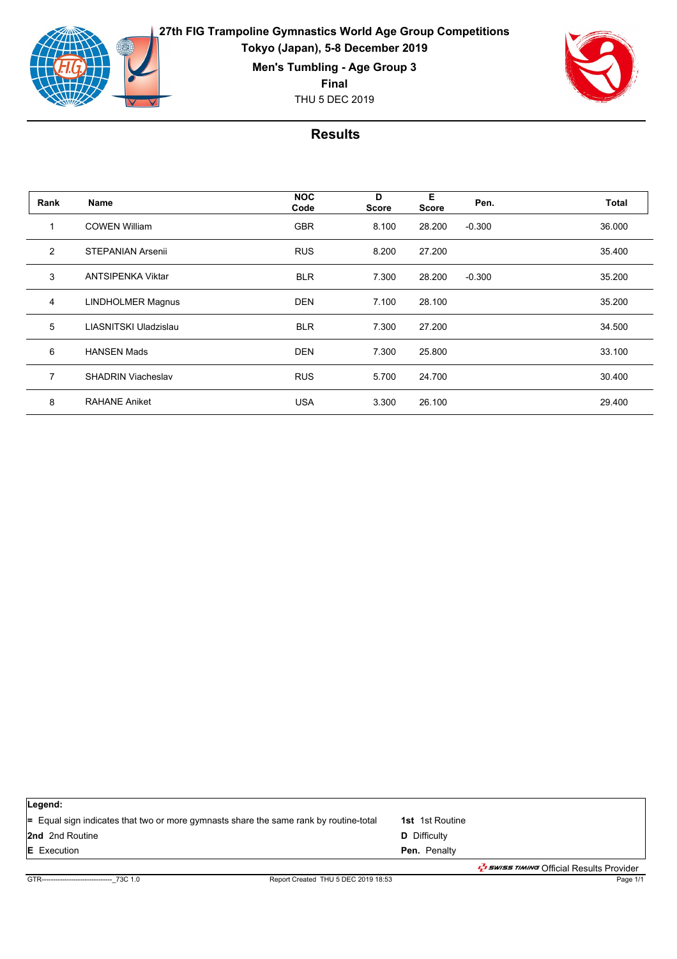

**Men's Tumbling - Age Group 3**

**Final**

THU 5 DEC 2019



| Rank           | Name                      | <b>NOC</b><br>Code | D<br><b>Score</b> | E<br>Score | Pen.     | <b>Total</b> |
|----------------|---------------------------|--------------------|-------------------|------------|----------|--------------|
|                | <b>COWEN William</b>      | <b>GBR</b>         | 8.100             | 28.200     | $-0.300$ | 36.000       |
| 2              | <b>STEPANIAN Arsenii</b>  | <b>RUS</b>         | 8.200             | 27.200     |          | 35.400       |
| 3              | <b>ANTSIPENKA Viktar</b>  | <b>BLR</b>         | 7.300             | 28.200     | $-0.300$ | 35.200       |
| $\overline{4}$ | <b>LINDHOLMER Magnus</b>  | <b>DEN</b>         | 7.100             | 28.100     |          | 35.200       |
| 5              | LIASNITSKI Uladzislau     | <b>BLR</b>         | 7.300             | 27.200     |          | 34.500       |
| 6              | <b>HANSEN Mads</b>        | <b>DEN</b>         | 7.300             | 25.800     |          | 33.100       |
| $\overline{7}$ | <b>SHADRIN Viacheslav</b> | <b>RUS</b>         | 5.700             | 24.700     |          | 30.400       |
| 8              | <b>RAHANE Aniket</b>      | <b>USA</b>         | 3.300             | 26.100     |          | 29.400       |

| Legend:                                                                               |                                                             |
|---------------------------------------------------------------------------------------|-------------------------------------------------------------|
| = Equal sign indicates that two or more gymnasts share the same rank by routine-total | <b>1st</b> 1st Routine                                      |
| <b>2nd</b> 2nd Routine                                                                | <b>D</b> Difficulty                                         |
| <b>E</b> Execution                                                                    | Pen. Penalty                                                |
|                                                                                       | ב <i>שוואיד ב-swiss דוואוויד O</i> fficial Results Provider |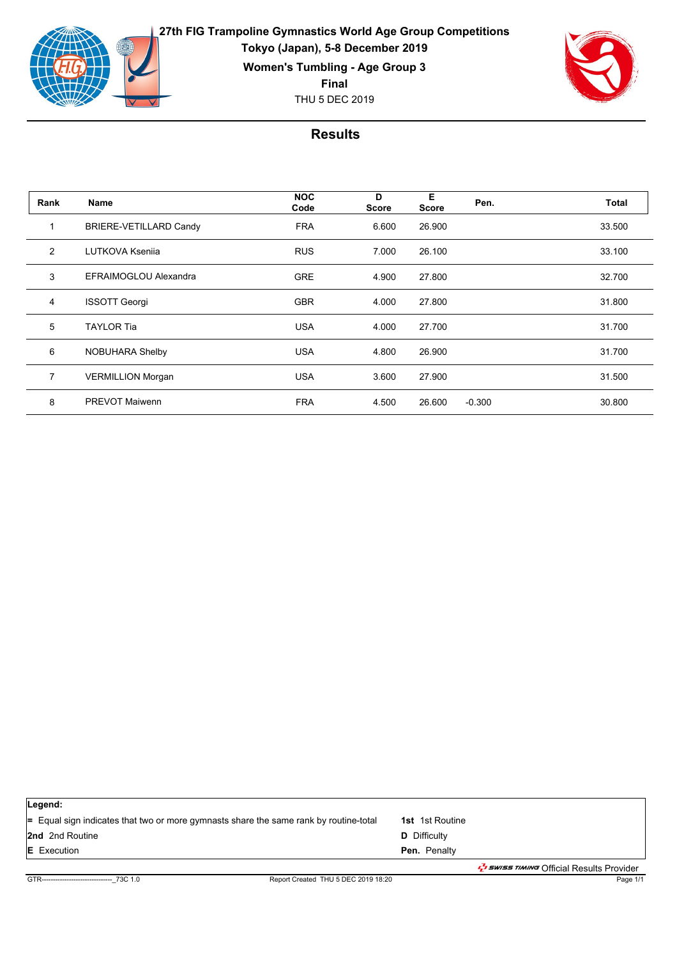

**27th FIG Trampoline Gymnastics World Age Group Competitions Tokyo (Japan), 5-8 December 2019 Women's Tumbling - Age Group 3**

**Final**

THU 5 DEC 2019



| Rank           | Name                          | <b>NOC</b><br>Code | D<br><b>Score</b> | E<br><b>Score</b> | Pen.     | Total  |
|----------------|-------------------------------|--------------------|-------------------|-------------------|----------|--------|
|                | <b>BRIERE-VETILLARD Candy</b> | <b>FRA</b>         | 6.600             | 26.900            |          | 33.500 |
| 2              | <b>LUTKOVA Ksenija</b>        | <b>RUS</b>         | 7.000             | 26.100            |          | 33.100 |
| 3              | EFRAIMOGLOU Alexandra         | <b>GRE</b>         | 4.900             | 27,800            |          | 32.700 |
| $\overline{4}$ | <b>ISSOTT Georgi</b>          | <b>GBR</b>         | 4.000             | 27,800            |          | 31.800 |
| 5              | <b>TAYLOR Tia</b>             | <b>USA</b>         | 4.000             | 27.700            |          | 31.700 |
| 6              | NOBUHARA Shelby               | <b>USA</b>         | 4.800             | 26.900            |          | 31.700 |
| $\overline{7}$ | <b>VERMILLION Morgan</b>      | <b>USA</b>         | 3.600             | 27.900            |          | 31.500 |
| 8              | <b>PREVOT Maiwenn</b>         | <b>FRA</b>         | 4.500             | 26.600            | $-0.300$ | 30.800 |

| Legend:                                                                               |                                                       |
|---------------------------------------------------------------------------------------|-------------------------------------------------------|
| = Equal sign indicates that two or more gymnasts share the same rank by routine-total | <b>1st</b> 1st Routine                                |
| <b>2nd</b> 2nd Routine                                                                | <b>D</b> Difficulty                                   |
| <b>E</b> Execution                                                                    | Pen. Penalty                                          |
|                                                                                       | בשות <i>לי Swiss TIMING</i> Official Results Provider |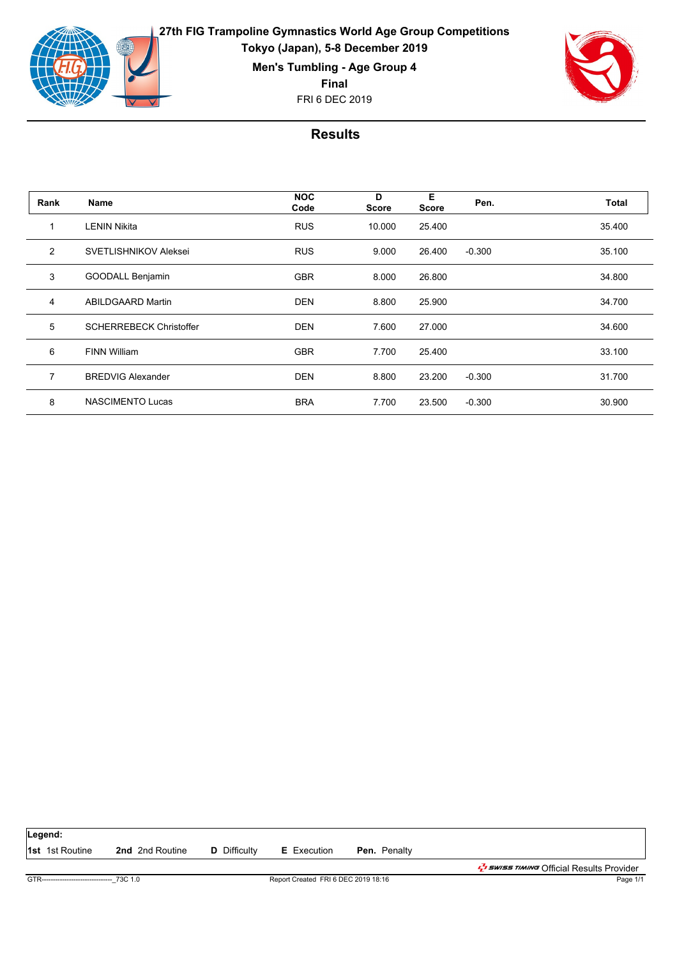

**Men's Tumbling - Age Group 4**

**Final**

FRI 6 DEC 2019



| Rank           | Name                           | <b>NOC</b><br>Code | D<br><b>Score</b> | E<br><b>Score</b> | Pen.     | Total  |
|----------------|--------------------------------|--------------------|-------------------|-------------------|----------|--------|
| 1              | <b>LENIN Nikita</b>            | <b>RUS</b>         | 10.000            | 25.400            |          | 35.400 |
| 2              | <b>SVETLISHNIKOV Aleksei</b>   | <b>RUS</b>         | 9.000             | 26.400            | $-0.300$ | 35.100 |
| 3              | <b>GOODALL Benjamin</b>        | <b>GBR</b>         | 8.000             | 26,800            |          | 34.800 |
| 4              | <b>ABILDGAARD Martin</b>       | <b>DEN</b>         | 8.800             | 25.900            |          | 34.700 |
| 5              | <b>SCHERREBECK Christoffer</b> | <b>DEN</b>         | 7.600             | 27.000            |          | 34.600 |
| 6              | <b>FINN William</b>            | <b>GBR</b>         | 7.700             | 25.400            |          | 33.100 |
| $\overline{7}$ | <b>BREDVIG Alexander</b>       | <b>DEN</b>         | 8.800             | 23.200            | $-0.300$ | 31.700 |
| 8              | <b>NASCIMENTO Lucas</b>        | <b>BRA</b>         | 7.700             | 23.500            | $-0.300$ | 30.900 |

| Legend:                                    |                        |                                     |                    |                     |                                                            |
|--------------------------------------------|------------------------|-------------------------------------|--------------------|---------------------|------------------------------------------------------------|
| <b>1st</b> 1st Routine                     | <b>2nd</b> 2nd Routine | <b>D</b> Difficulty                 | <b>E</b> Execution | <b>Pen.</b> Penalty |                                                            |
|                                            |                        |                                     |                    |                     | ב <i>ל באואד בל</i> א <i>בלי</i> Official Results Provider |
| GTR------------------------------- 73C 1.0 |                        | Report Created FRI 6 DEC 2019 18:16 |                    | Page 1/1            |                                                            |
|                                            |                        |                                     |                    |                     |                                                            |